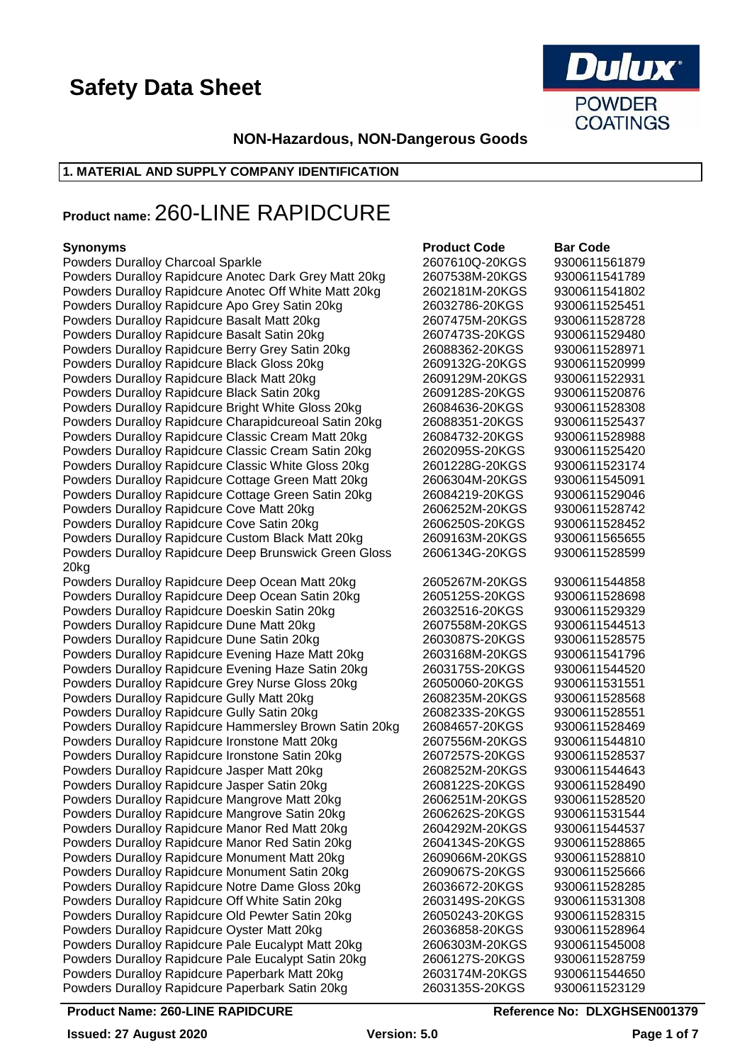

### **NON-Hazardous, NON-Dangerous Goods**

### **1. MATERIAL AND SUPPLY COMPANY IDENTIFICATION**

### **Product name:** 260-LINE RAPIDCURE

### **Synonyms**

| <b>Powders Duralloy Charcoal Sparkle</b>               | 2607610Q-20KGS | 9300611561879 |
|--------------------------------------------------------|----------------|---------------|
| Powders Duralloy Rapidcure Anotec Dark Grey Matt 20kg  | 2607538M-20KGS | 9300611541789 |
| Powders Duralloy Rapidcure Anotec Off White Matt 20kg  | 2602181M-20KGS | 9300611541802 |
| Powders Duralloy Rapidcure Apo Grey Satin 20kg         | 26032786-20KGS | 9300611525451 |
| Powders Duralloy Rapidcure Basalt Matt 20kg            | 2607475M-20KGS | 9300611528728 |
| Powders Duralloy Rapidcure Basalt Satin 20kg           | 2607473S-20KGS | 9300611529480 |
| Powders Duralloy Rapidcure Berry Grey Satin 20kg       | 26088362-20KGS | 9300611528971 |
| Powders Duralloy Rapidcure Black Gloss 20kg            | 2609132G-20KGS | 9300611520999 |
| Powders Duralloy Rapidcure Black Matt 20kg             | 2609129M-20KGS | 9300611522931 |
| Powders Duralloy Rapidcure Black Satin 20kg            | 2609128S-20KGS | 9300611520876 |
| Powders Duralloy Rapidcure Bright White Gloss 20kg     | 26084636-20KGS | 9300611528308 |
| Powders Duralloy Rapidcure Charapidcureoal Satin 20kg  | 26088351-20KGS | 9300611525437 |
| Powders Duralloy Rapidcure Classic Cream Matt 20kg     | 26084732-20KGS | 9300611528988 |
| Powders Duralloy Rapidcure Classic Cream Satin 20kg    | 2602095S-20KGS | 9300611525420 |
| Powders Duralloy Rapidcure Classic White Gloss 20kg    | 2601228G-20KGS | 9300611523174 |
| Powders Duralloy Rapidcure Cottage Green Matt 20kg     | 2606304M-20KGS | 9300611545091 |
|                                                        | 26084219-20KGS | 9300611529046 |
| Powders Duralloy Rapidcure Cottage Green Satin 20kg    |                |               |
| Powders Duralloy Rapidcure Cove Matt 20kg              | 2606252M-20KGS | 9300611528742 |
| Powders Duralloy Rapidcure Cove Satin 20kg             | 2606250S-20KGS | 9300611528452 |
| Powders Duralloy Rapidcure Custom Black Matt 20kg      | 2609163M-20KGS | 9300611565655 |
| Powders Duralloy Rapidcure Deep Brunswick Green Gloss  | 2606134G-20KGS | 9300611528599 |
| 20kg                                                   |                |               |
| Powders Duralloy Rapidcure Deep Ocean Matt 20kg        | 2605267M-20KGS | 9300611544858 |
| Powders Duralloy Rapidcure Deep Ocean Satin 20kg       | 2605125S-20KGS | 9300611528698 |
| Powders Duralloy Rapidcure Doeskin Satin 20kg          | 26032516-20KGS | 9300611529329 |
| Powders Duralloy Rapidcure Dune Matt 20kg              | 2607558M-20KGS | 9300611544513 |
| Powders Duralloy Rapidcure Dune Satin 20kg             | 2603087S-20KGS | 9300611528575 |
| Powders Duralloy Rapidcure Evening Haze Matt 20kg      | 2603168M-20KGS | 9300611541796 |
| Powders Duralloy Rapidcure Evening Haze Satin 20kg     | 2603175S-20KGS | 9300611544520 |
| Powders Duralloy Rapidcure Grey Nurse Gloss 20kg       | 26050060-20KGS | 9300611531551 |
| Powders Duralloy Rapidcure Gully Matt 20kg             | 2608235M-20KGS | 9300611528568 |
| Powders Duralloy Rapidcure Gully Satin 20kg            | 2608233S-20KGS | 9300611528551 |
| Powders Duralloy Rapidcure Hammersley Brown Satin 20kg | 26084657-20KGS | 9300611528469 |
| Powders Duralloy Rapidcure Ironstone Matt 20kg         | 2607556M-20KGS | 9300611544810 |
| Powders Duralloy Rapidcure Ironstone Satin 20kg        | 2607257S-20KGS | 9300611528537 |
| Powders Duralloy Rapidcure Jasper Matt 20kg            | 2608252M-20KGS | 9300611544643 |
| Powders Duralloy Rapidcure Jasper Satin 20kg           | 2608122S-20KGS | 9300611528490 |
| Powders Duralloy Rapidcure Mangrove Matt 20kg          | 2606251M-20KGS | 9300611528520 |
| Powders Duralloy Rapidcure Mangrove Satin 20kg         | 2606262S-20KGS | 9300611531544 |
| Powders Duralloy Rapidcure Manor Red Matt 20kg         | 2604292M-20KGS | 9300611544537 |
| Powders Duralloy Rapidcure Manor Red Satin 20kg        | 2604134S-20KGS | 9300611528865 |
| Powders Duralloy Rapidcure Monument Matt 20kg          | 2609066M-20KGS | 9300611528810 |
| Powders Duralloy Rapidcure Monument Satin 20kg         | 2609067S-20KGS | 9300611525666 |
| Powders Duralloy Rapidcure Notre Dame Gloss 20kg       | 26036672-20KGS | 9300611528285 |
| Powders Duralloy Rapidcure Off White Satin 20kg        | 2603149S-20KGS | 9300611531308 |
| Powders Duralloy Rapidcure Old Pewter Satin 20kg       | 26050243-20KGS | 9300611528315 |
| Powders Duralloy Rapidcure Oyster Matt 20kg            | 26036858-20KGS | 9300611528964 |
| Powders Duralloy Rapidcure Pale Eucalypt Matt 20kg     | 2606303M-20KGS | 9300611545008 |
| Powders Duralloy Rapidcure Pale Eucalypt Satin 20kg    | 2606127S-20KGS | 9300611528759 |
| Powders Duralloy Rapidcure Paperbark Matt 20kg         | 2603174M-20KGS | 9300611544650 |
| Powders Duralloy Rapidcure Paperbark Satin 20kg        | 2603135S-20KGS | 9300611523129 |
|                                                        |                |               |

| <b>Product Code</b> | <b>Bar Code</b> |
|---------------------|-----------------|
| 2607610Q-20KGS      | 9300611561879   |
| 2607538M-20KGS      | 9300611541789   |
|                     |                 |
| 2602181M-20KGS      | 9300611541802   |
| 26032786-20KGS      | 9300611525451   |
| 2607475M-20KGS      | 9300611528728   |
| 2607473S-20KGS      | 9300611529480   |
|                     |                 |
| 26088362-20KGS      | 9300611528971   |
| 2609132G-20KGS      | 9300611520999   |
| 2609129M-20KGS      | 9300611522931   |
| 2609128S-20KGS      | 9300611520876   |
|                     |                 |
| 26084636-20KGS      | 9300611528308   |
| 26088351-20KGS      | 9300611525437   |
| 26084732-20KGS      | 9300611528988   |
| 2602095S-20KGS      | 9300611525420   |
|                     |                 |
| 2601228G-20KGS      | 9300611523174   |
| 2606304M-20KGS      | 9300611545091   |
| 26084219-20KGS      | 9300611529046   |
| 2606252M-20KGS      | 9300611528742   |
| 2606250S-20KGS      | 9300611528452   |
|                     |                 |
| 2609163M-20KGS      | 9300611565655   |
| 2606134G-20KGS      | 9300611528599   |
|                     |                 |
| 2605267M-20KGS      | 9300611544858   |
| 2605125S-20KGS      |                 |
|                     | 9300611528698   |
| 26032516-20KGS      | 9300611529329   |
| 2607558M-20KGS      | 9300611544513   |
| 2603087S-20KGS      | 9300611528575   |
| 2603168M-20KGS      | 9300611541796   |
|                     |                 |
| 2603175S-20KGS      | 9300611544520   |
| 26050060-20KGS      | 9300611531551   |
| 2608235M-20KGS      | 9300611528568   |
| 2608233S-20KGS      | 9300611528551   |
|                     |                 |
| 26084657-20KGS      | 9300611528469   |
| 2607556M-20KGS      | 9300611544810   |
| 2607257S-20KGS      | 9300611528537   |
| 2608252M-20KGS      | 9300611544643   |
| 2608122S-20KGS      | 9300611528490   |
|                     |                 |
| 2606251M-20KGS      | 9300611528520   |
| 2606262S-20KGS      | 9300611531544   |
| 2604292M-20KGS      | 9300611544537   |
| 2604134S-20KGS      | 9300611528865   |
|                     |                 |
| 2609066M-20KGS      | 9300611528810   |
| 2609067S-20KGS      | 9300611525666   |
| 26036672-20KGS      | 9300611528285   |
| 2603149S-20KGS      | 9300611531308   |
| 26050243-20KGS      | 9300611528315   |
|                     |                 |
| 26036858-20KGS      | 9300611528964   |
| 2606303M-20KGS      | 9300611545008   |
| 2606127S-20KGS      | 9300611528759   |
| 2603174M-20KGS      | 9300611544650   |
| 2603135S-20KGS      | 9300611523129   |
|                     |                 |

### **Product Name: 260-LINE RAPIDCURE Reference No: DLXGHSEN001379**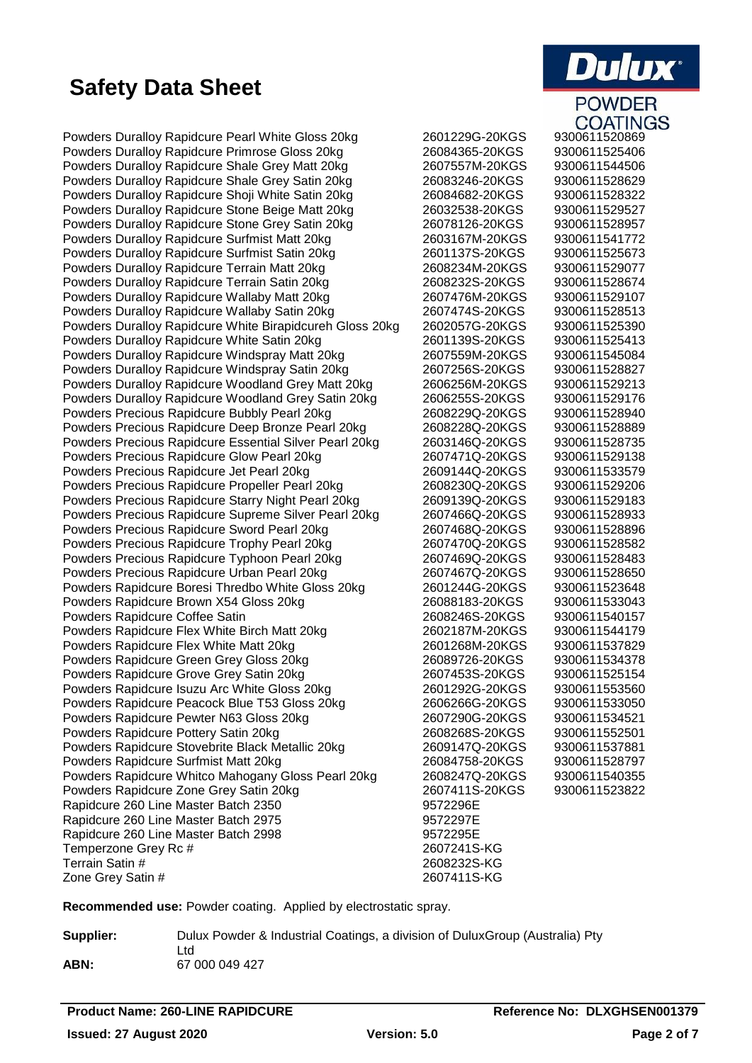Powders Duralloy Rapidcure Pearl White Gloss 20kg 2601229G-20KGS 9300611520869 Powders Duralloy Rapidcure Primrose Gloss 20kg 26084365-20KGS 9300611525406 Powders Duralloy Rapidcure Shale Grey Matt 20kg 2607557M-20KGS 9300611544506 Powders Duralloy Rapidcure Shale Grey Satin 20kg 26083246-20KGS 9300611528629 Powders Durallov Rapidcure Shoji White Satin 20kg 26084682-20KGS 9300611528322 Powders Duralloy Rapidcure Stone Beige Matt 20kg 26032538-20KGS 9300611529527 Powders Duralloy Rapidcure Stone Grey Satin 20kg 26078126-20KGS 9300611528957 Powders Duralloy Rapidcure Surfmist Matt 20kg 2603167M-20KGS 9300611541772 Powders Duralloy Rapidcure Surfmist Satin 20kg 2601137S-20KGS 9300611525673 Powders Duralloy Rapidcure Terrain Matt 20kg 2608234M-20KGS 9300611529077 Powders Duralloy Rapidcure Terrain Satin 20kg 2608232S-20KGS 9300611528674 Powders Duralloy Rapidcure Wallaby Matt 20kg 2607476M-20KGS 9300611529107 Powders Duralloy Rapidcure Wallaby Satin 20kg 2607474S-20KGS 9300611528513 Powders Duralloy Rapidcure White Birapidcureh Gloss 20kg 2602057G-20KGS 9300611525390 Powders Duralloy Rapidcure White Satin 20kg 2601139S-20KGS 9300611525413 Powders Duralloy Rapidcure Windspray Matt 20kg 2607559M-20KGS 9300611545084 Powders Duralloy Rapidcure Windspray Satin 20kg <br>Powders Duralloy Rapidcure Woodland Grey Matt 20kg 2606256M-20KGS 9300611529213 Powders Duralloy Rapidcure Woodland Grey Matt 20kg 2606256M-20KGS 9300611529213 Powders Duralloy Rapidcure Woodland Grey Satin 20kg 2606255S-20KGS 9300611529176 Powders Precious Rapidcure Bubbly Pearl 20kg 2608229Q-20KGS 9300611528940 Powders Precious Rapidcure Deep Bronze Pearl 20kg 2608228Q-20KGS 9300611528889 Powders Precious Rapidcure Essential Silver Pearl 20kg 2603146Q-20KGS 9300611528735 Powders Precious Rapidcure Glow Pearl 20kg 2607471Q-20KGS 9300611529138 Powders Precious Rapidcure Jet Pearl 20kg 2609144Q-20KGS 9300611533579 Powders Precious Rapidcure Propeller Pearl 20kg 2608230Q-20KGS 9300611529206 Powders Precious Rapidcure Starry Night Pearl 20kg 2609139Q-20KGS 9300611529183 Powders Precious Rapidcure Supreme Silver Pearl 20kg 2607466Q-20KGS 9300611528933 Powders Precious Rapidcure Sword Pearl 20kg 2607468Q-20KGS 9300611528896 Powders Precious Rapidcure Trophy Pearl 20kg 2607470Q-20KGS 9300611528582 Powders Precious Rapidcure Typhoon Pearl 20kg 2607469Q-20KGS 9300611528483 Powders Precious Rapidcure Urban Pearl 20kg 2607467Q-20KGS 9300611528650 Powders Rapidcure Boresi Thredbo White Gloss 20kg 2601244G-20KGS 9300611523648 Powders Rapidcure Brown X54 Gloss 20kg 26088183-20KGS 9300611533043 Powders Rapidcure Coffee Satin 2608246S-20KGS 9300611540157 Powders Rapidcure Flex White Birch Matt 20kg 2602187M-20KGS 9300611544179 Powders Rapidcure Flex White Matt 20kg<br>
Powders Rapidcure Green Grev Gloss 20kg<br>
26089726-20KGS 9300611534378 Powders Rapidcure Green Grey Gloss 20kg 26089726-20KGS 9300611534378 Powders Rapidcure Grove Grey Satin 20kg 2607453S-20KGS 9300611525154 Powders Rapidcure Isuzu Arc White Gloss 20kg 2601292G-20KGS 9300611553560 Powders Rapidcure Peacock Blue T53 Gloss 20kg 2606266G-20KGS 9300611533050 Powders Rapidcure Pewter N63 Gloss 20kg 2607290G-20KGS 9300611534521 Powders Rapidcure Pottery Satin 20kg 2608268S-20KGS 9300611552501 Powders Rapidcure Stovebrite Black Metallic 20kg 2609147Q-20KGS 9300611537881 Powders Rapidcure Surfmist Matt 20kg 26084758-20KGS 9300611528797 Powders Rapidcure Whitco Mahogany Gloss Pearl 20kg 2608247Q-20KGS 9300611540355 Powders Rapidcure Zone Grey Satin 20kg 2607411S-20KGS 9300611523822 Rapidcure 260 Line Master Batch 2350 9572296E Rapidcure 260 Line Master Batch 2975 9572297E Rapidcure 260 Line Master Batch 2998 9572295E Temperzone Grey Rc # 2607241S-KG Terrain Satin # 2608232S-KG Zone Grey Satin # 2607411S-KG

# **Dulux POWDER**

**COATINGS** 

**Recommended use:** Powder coating. Applied by electrostatic spray.

Ltd

**Supplier:** Dulux Powder & Industrial Coatings, a division of DuluxGroup (Australia) Pty **ABN:** 67 000 049 427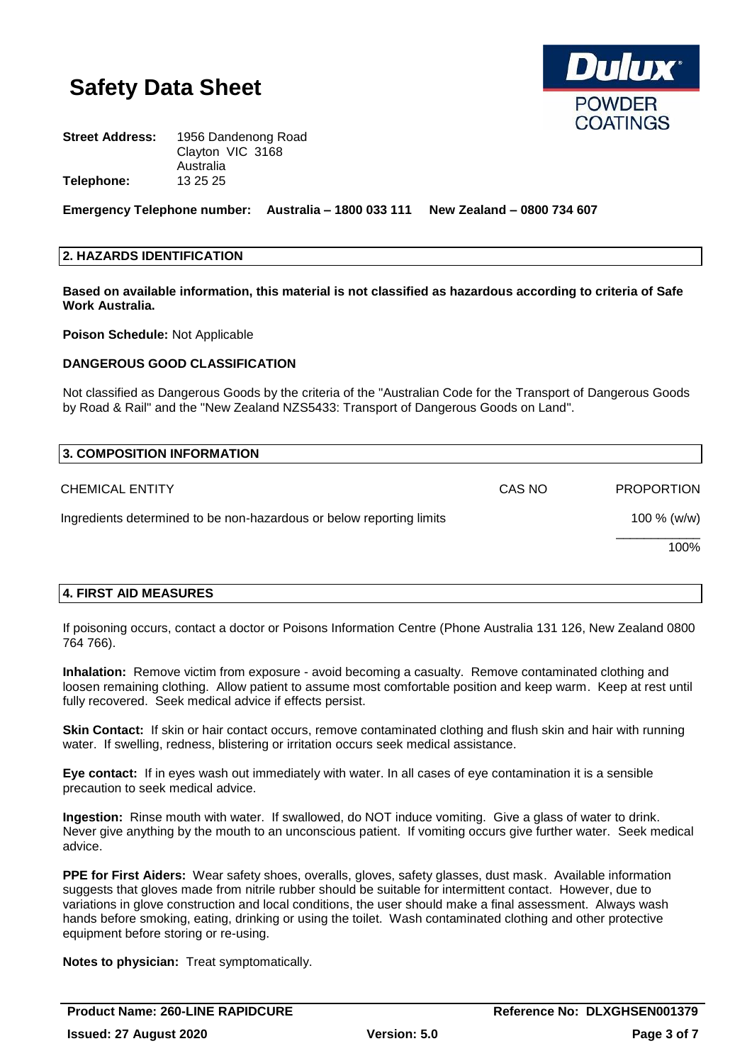

| 1956 Dandenong Road |  |
|---------------------|--|
| Clayton VIC 3168    |  |
| Australia           |  |
| 13 25 25            |  |
|                     |  |

**Emergency Telephone number: Australia – 1800 033 111 New Zealand – 0800 734 607**

### **2. HAZARDS IDENTIFICATION**

**Based on available information, this material is not classified as hazardous according to criteria of Safe Work Australia.**

**Poison Schedule:** Not Applicable

### **DANGEROUS GOOD CLASSIFICATION**

Not classified as Dangerous Goods by the criteria of the "Australian Code for the Transport of Dangerous Goods by Road & Rail" and the "New Zealand NZS5433: Transport of Dangerous Goods on Land".

| 3. COMPOSITION INFORMATION                                           |        |                   |
|----------------------------------------------------------------------|--------|-------------------|
| <b>CHEMICAL ENTITY</b>                                               | CAS NO | <b>PROPORTION</b> |
| Ingredients determined to be non-hazardous or below reporting limits |        | 100 $% (w/w)$     |
|                                                                      |        | 100%              |

### **4. FIRST AID MEASURES**

If poisoning occurs, contact a doctor or Poisons Information Centre (Phone Australia 131 126, New Zealand 0800 764 766).

**Inhalation:** Remove victim from exposure - avoid becoming a casualty. Remove contaminated clothing and loosen remaining clothing. Allow patient to assume most comfortable position and keep warm. Keep at rest until fully recovered. Seek medical advice if effects persist.

**Skin Contact:** If skin or hair contact occurs, remove contaminated clothing and flush skin and hair with running water. If swelling, redness, blistering or irritation occurs seek medical assistance.

**Eye contact:** If in eyes wash out immediately with water. In all cases of eye contamination it is a sensible precaution to seek medical advice.

**Ingestion:** Rinse mouth with water. If swallowed, do NOT induce vomiting. Give a glass of water to drink. Never give anything by the mouth to an unconscious patient. If vomiting occurs give further water. Seek medical advice.

**PPE for First Aiders:** Wear safety shoes, overalls, gloves, safety glasses, dust mask. Available information suggests that gloves made from nitrile rubber should be suitable for intermittent contact. However, due to variations in glove construction and local conditions, the user should make a final assessment. Always wash hands before smoking, eating, drinking or using the toilet. Wash contaminated clothing and other protective equipment before storing or re-using.

**Notes to physician:** Treat symptomatically.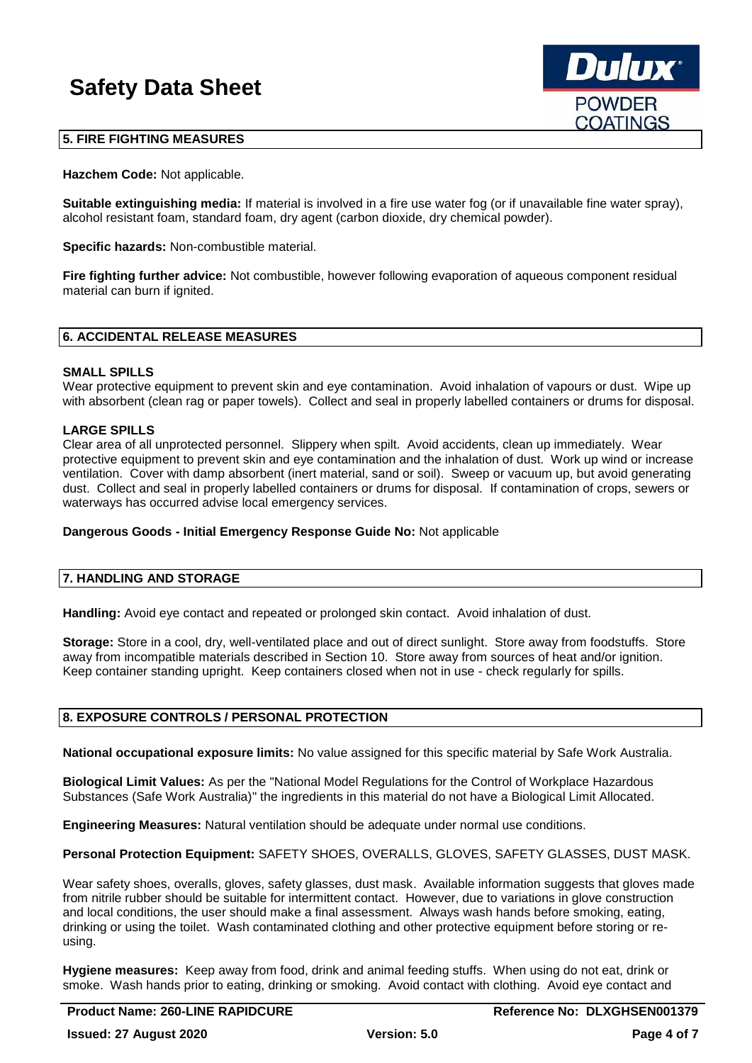

### **5. FIRE FIGHTING MEASURES**

**Hazchem Code:** Not applicable.

**Suitable extinguishing media:** If material is involved in a fire use water fog (or if unavailable fine water spray), alcohol resistant foam, standard foam, dry agent (carbon dioxide, dry chemical powder).

**Specific hazards:** Non-combustible material.

**Fire fighting further advice:** Not combustible, however following evaporation of aqueous component residual material can burn if ignited.

### **6. ACCIDENTAL RELEASE MEASURES**

#### **SMALL SPILLS**

Wear protective equipment to prevent skin and eye contamination. Avoid inhalation of vapours or dust. Wipe up with absorbent (clean rag or paper towels). Collect and seal in properly labelled containers or drums for disposal.

### **LARGE SPILLS**

Clear area of all unprotected personnel. Slippery when spilt. Avoid accidents, clean up immediately. Wear protective equipment to prevent skin and eye contamination and the inhalation of dust. Work up wind or increase ventilation. Cover with damp absorbent (inert material, sand or soil). Sweep or vacuum up, but avoid generating dust. Collect and seal in properly labelled containers or drums for disposal. If contamination of crops, sewers or waterways has occurred advise local emergency services.

### **Dangerous Goods - Initial Emergency Response Guide No:** Not applicable

#### **7. HANDLING AND STORAGE**

**Handling:** Avoid eye contact and repeated or prolonged skin contact. Avoid inhalation of dust.

**Storage:** Store in a cool, dry, well-ventilated place and out of direct sunlight. Store away from foodstuffs. Store away from incompatible materials described in Section 10. Store away from sources of heat and/or ignition. Keep container standing upright. Keep containers closed when not in use - check regularly for spills.

#### **8. EXPOSURE CONTROLS / PERSONAL PROTECTION**

**National occupational exposure limits:** No value assigned for this specific material by Safe Work Australia.

**Biological Limit Values:** As per the "National Model Regulations for the Control of Workplace Hazardous Substances (Safe Work Australia)" the ingredients in this material do not have a Biological Limit Allocated.

**Engineering Measures:** Natural ventilation should be adequate under normal use conditions.

**Personal Protection Equipment:** SAFETY SHOES, OVERALLS, GLOVES, SAFETY GLASSES, DUST MASK.

Wear safety shoes, overalls, gloves, safety glasses, dust mask. Available information suggests that gloves made from nitrile rubber should be suitable for intermittent contact. However, due to variations in glove construction and local conditions, the user should make a final assessment. Always wash hands before smoking, eating, drinking or using the toilet. Wash contaminated clothing and other protective equipment before storing or reusing.

**Hygiene measures:** Keep away from food, drink and animal feeding stuffs. When using do not eat, drink or smoke. Wash hands prior to eating, drinking or smoking. Avoid contact with clothing. Avoid eye contact and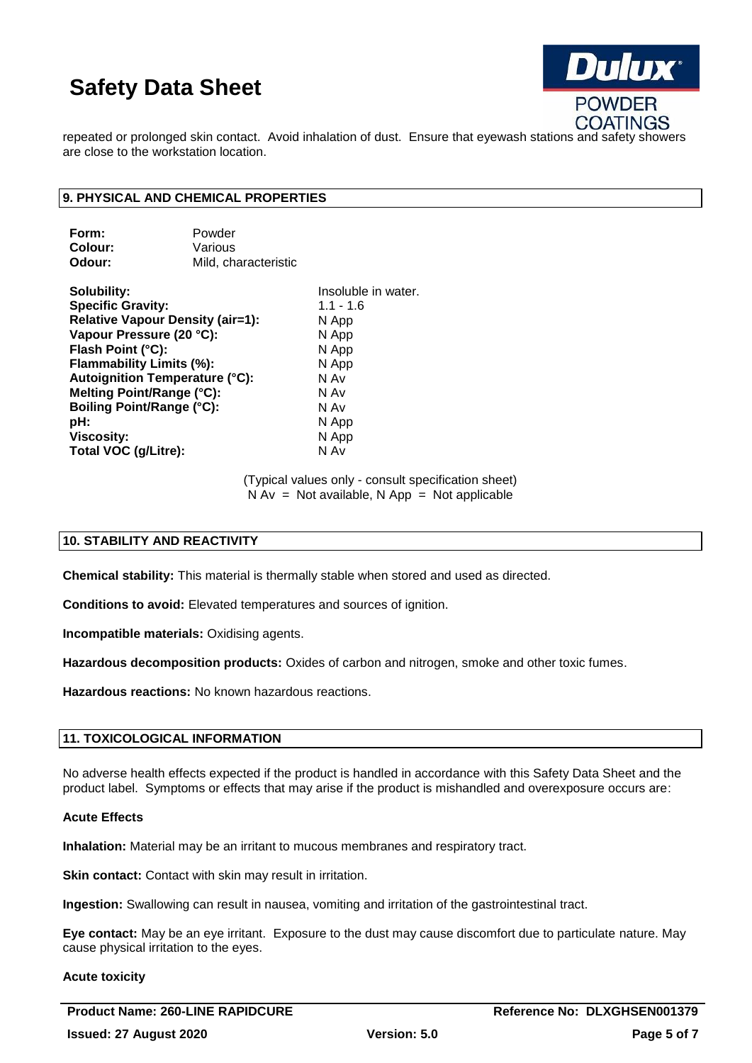

repeated or prolonged skin contact. Avoid inhalation of dust. Ensure that eyewash stations and safety showers are close to the workstation location.

### **9. PHYSICAL AND CHEMICAL PROPERTIES**

| Form:   | Powder               |
|---------|----------------------|
| Colour: | Various              |
| Odour:  | Mild, characteristic |

**Solubility:** Insoluble in water. **Specific Gravity:** 1.1 - 1.6 **Relative Vapour Density (air=1):** N App **Vapour Pressure (20 °C):** N App **Flash Point (°C):** N App **Flammability Limits (%):** N App **Autoignition Temperature (°C):** N Av **Melting Point/Range (°C):** N Av **Boiling Point/Range (°C):** N Av **pH:** N App **Viscosity:** N App **Total VOC (g/Litre):** N Av

(Typical values only - consult specification sheet)  $N Av = Not available, N App = Not applicable$ 

### **10. STABILITY AND REACTIVITY**

**Chemical stability:** This material is thermally stable when stored and used as directed.

**Conditions to avoid:** Elevated temperatures and sources of ignition.

**Incompatible materials:** Oxidising agents.

**Hazardous decomposition products:** Oxides of carbon and nitrogen, smoke and other toxic fumes.

**Hazardous reactions:** No known hazardous reactions.

### **11. TOXICOLOGICAL INFORMATION**

No adverse health effects expected if the product is handled in accordance with this Safety Data Sheet and the product label. Symptoms or effects that may arise if the product is mishandled and overexposure occurs are:

#### **Acute Effects**

**Inhalation:** Material may be an irritant to mucous membranes and respiratory tract.

**Skin contact:** Contact with skin may result in irritation.

**Ingestion:** Swallowing can result in nausea, vomiting and irritation of the gastrointestinal tract.

**Eye contact:** May be an eye irritant. Exposure to the dust may cause discomfort due to particulate nature. May cause physical irritation to the eyes.

#### **Acute toxicity**

Product Name: 260-LINE RAPIDCURE **Reference No: DLXGHSEN001379**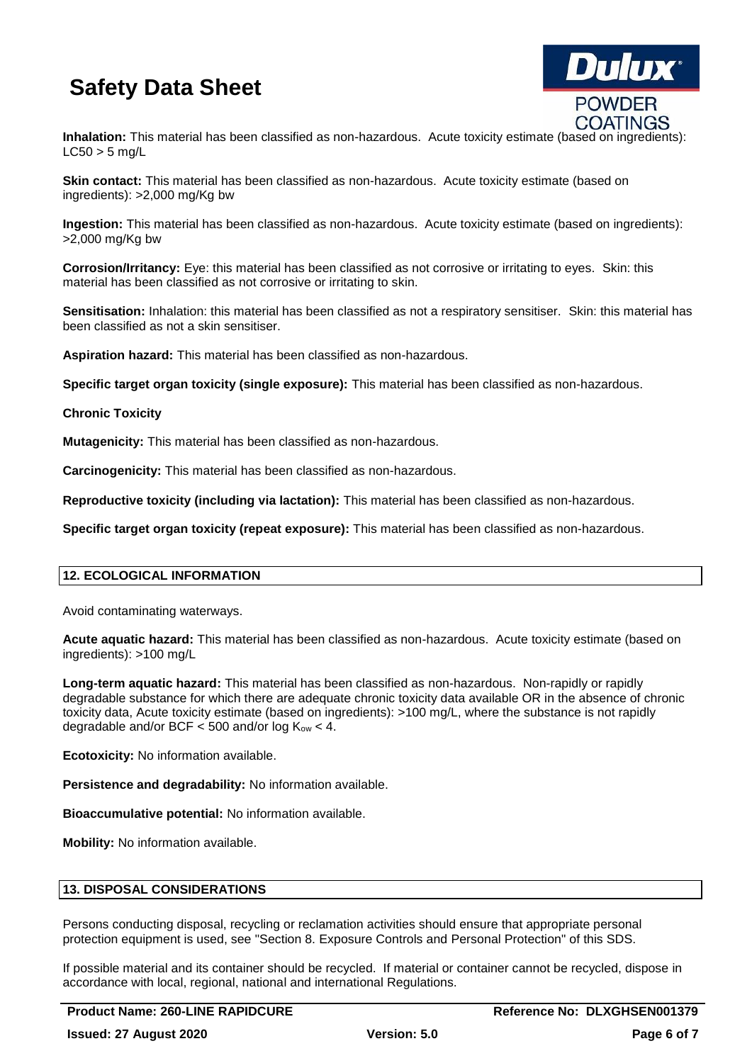

**Inhalation:** This material has been classified as non-hazardous. Acute toxicity estimate (based on ingredients):  $LC50 > 5$  mg/L

**Skin contact:** This material has been classified as non-hazardous. Acute toxicity estimate (based on ingredients): >2,000 mg/Kg bw

**Ingestion:** This material has been classified as non-hazardous. Acute toxicity estimate (based on ingredients): >2,000 mg/Kg bw

**Corrosion/Irritancy:** Eye: this material has been classified as not corrosive or irritating to eyes. Skin: this material has been classified as not corrosive or irritating to skin.

**Sensitisation:** Inhalation: this material has been classified as not a respiratory sensitiser. Skin: this material has been classified as not a skin sensitiser.

**Aspiration hazard:** This material has been classified as non-hazardous.

**Specific target organ toxicity (single exposure):** This material has been classified as non-hazardous.

### **Chronic Toxicity**

**Mutagenicity:** This material has been classified as non-hazardous.

**Carcinogenicity:** This material has been classified as non-hazardous.

**Reproductive toxicity (including via lactation):** This material has been classified as non-hazardous.

**Specific target organ toxicity (repeat exposure):** This material has been classified as non-hazardous.

### **12. ECOLOGICAL INFORMATION**

Avoid contaminating waterways.

**Acute aquatic hazard:** This material has been classified as non-hazardous. Acute toxicity estimate (based on ingredients): >100 mg/L

**Long-term aquatic hazard:** This material has been classified as non-hazardous. Non-rapidly or rapidly degradable substance for which there are adequate chronic toxicity data available OR in the absence of chronic toxicity data, Acute toxicity estimate (based on ingredients): >100 mg/L, where the substance is not rapidly degradable and/or BCF  $<$  500 and/or log  $K_{ow}$   $<$  4.

**Ecotoxicity:** No information available.

**Persistence and degradability:** No information available.

**Bioaccumulative potential:** No information available.

**Mobility:** No information available.

### **13. DISPOSAL CONSIDERATIONS**

Persons conducting disposal, recycling or reclamation activities should ensure that appropriate personal protection equipment is used, see "Section 8. Exposure Controls and Personal Protection" of this SDS.

If possible material and its container should be recycled. If material or container cannot be recycled, dispose in accordance with local, regional, national and international Regulations.